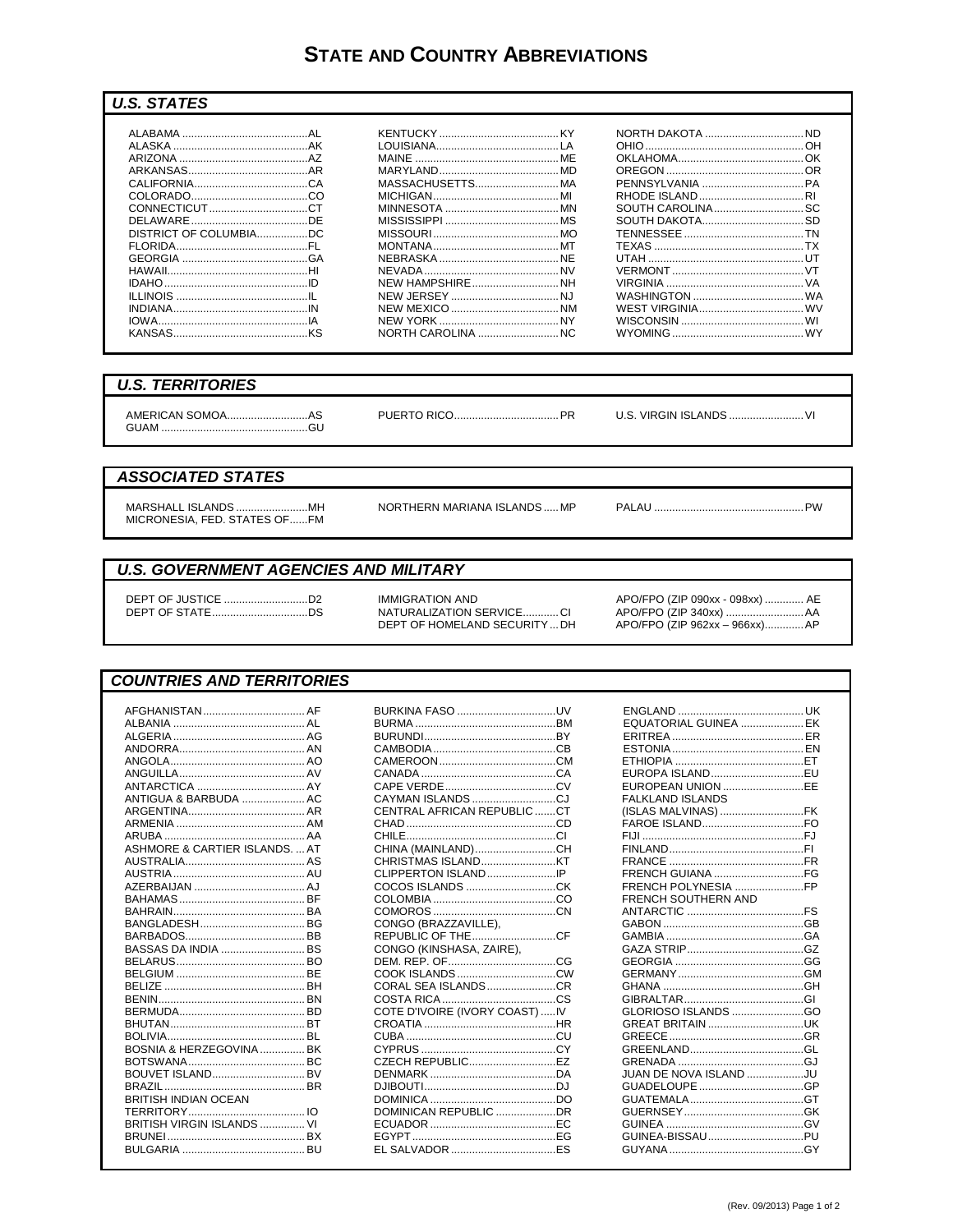# **STATE AND COUNTRY ABBREVIATIONS**

#### **U.S. STATES**

| DISTRICT OF COLUMBIADC |  |
|------------------------|--|
|                        |  |
|                        |  |
|                        |  |
|                        |  |
|                        |  |
|                        |  |
|                        |  |
|                        |  |

| MASSACHUSETTS MA       |  |
|------------------------|--|
|                        |  |
|                        |  |
|                        |  |
|                        |  |
|                        |  |
|                        |  |
|                        |  |
| <b>NEW HAMPSHIRENH</b> |  |
|                        |  |
|                        |  |
|                        |  |
| NORTH CAROLINA NC      |  |
|                        |  |

| <b>NORTH DAKOTA  ND</b> |  |
|-------------------------|--|
|                         |  |
|                         |  |
|                         |  |
|                         |  |
|                         |  |
| SOUTH CAROLINA SC       |  |
|                         |  |
|                         |  |
|                         |  |
|                         |  |
|                         |  |
|                         |  |
|                         |  |
|                         |  |
|                         |  |
| WYOMING WY              |  |

### **U.S. TERRITORIES**

 U.S. VIRGIN ISLANDS ........................... VI

#### **ASSOCIATED STATES**

MARSHALL ISLANDS ..........................MH<br>MICRONESIA, FED. STATES OF......FM

NORTHERN MARIANA ISLANDS ..... MP

### **U.S. GOVERNMENT AGENCIES AND MILITARY**

**IMMIGRATION AND** NATURALIZATION SERVICE............CI DEPT OF HOMELAND SECURITY ... DH

APO/FPO (ZIP 090xx - 098xx) ............. AE APO/FPO (ZIP 962xx - 966xx).............. AP

#### **COUNTRIES AND TERRITORIES**

| ANTIGUA & BARBUDA  AC       |  |
|-----------------------------|--|
|                             |  |
|                             |  |
|                             |  |
| ASHMORE & CARTIER ISLANDSAT |  |
|                             |  |
|                             |  |
|                             |  |
|                             |  |
|                             |  |
|                             |  |
|                             |  |
| BASSAS DA INDIA  BS         |  |
|                             |  |
|                             |  |
|                             |  |
|                             |  |
|                             |  |
|                             |  |
| BOSNIA & HERZEGOVINA  BK    |  |
|                             |  |
| BOUVET ISLAND BV            |  |
|                             |  |
| BRITISH INDIAN OCEAN        |  |
|                             |  |
| BRITISH VIRGIN ISLANDS  VI  |  |
|                             |  |
|                             |  |
|                             |  |

| BURKINA FASO UV                |  |
|--------------------------------|--|
|                                |  |
|                                |  |
|                                |  |
|                                |  |
|                                |  |
|                                |  |
| CAYMAN ISLANDS CJ              |  |
| CENTRAL AFRICAN REPUBLICCT     |  |
|                                |  |
|                                |  |
| CHINA (MAINLAND)CH             |  |
|                                |  |
| CLIPPERTON ISLANDIP            |  |
|                                |  |
|                                |  |
|                                |  |
| CONGO (BRAZZAVILLE),           |  |
| REPUBLIC OF THE CF             |  |
| CONGO (KINSHASA, ZAIRE),       |  |
|                                |  |
|                                |  |
|                                |  |
| CORAL SEA ISLANDSCR            |  |
|                                |  |
|                                |  |
| COTE D'IVOIRE (IVORY COAST) IV |  |
|                                |  |
|                                |  |
|                                |  |
|                                |  |
|                                |  |
|                                |  |
| DOMINICAN REPUBLIC DR          |  |
|                                |  |
|                                |  |
|                                |  |

| EQUATORIAL GUINEA  EK<br>EUROPA ISLANDEU<br>EUROPEAN UNION EE<br><b>FALKLAND ISLANDS</b> |  |
|------------------------------------------------------------------------------------------|--|
| (ISLAS MALVINAS) FK                                                                      |  |
|                                                                                          |  |
|                                                                                          |  |
|                                                                                          |  |
|                                                                                          |  |
| FRENCH GUIANA FG<br>FRENCH POLYNESIA FP                                                  |  |
| <b>FRENCH SOUTHERN AND</b>                                                               |  |
|                                                                                          |  |
|                                                                                          |  |
|                                                                                          |  |
|                                                                                          |  |
|                                                                                          |  |
|                                                                                          |  |
|                                                                                          |  |
|                                                                                          |  |
| GLORIOSO ISLANDS GO                                                                      |  |
| GREAT BRITAIN UK                                                                         |  |
|                                                                                          |  |
|                                                                                          |  |
|                                                                                          |  |
| JUAN DE NOVA ISLAND JU                                                                   |  |
|                                                                                          |  |
|                                                                                          |  |
|                                                                                          |  |
|                                                                                          |  |
|                                                                                          |  |
|                                                                                          |  |